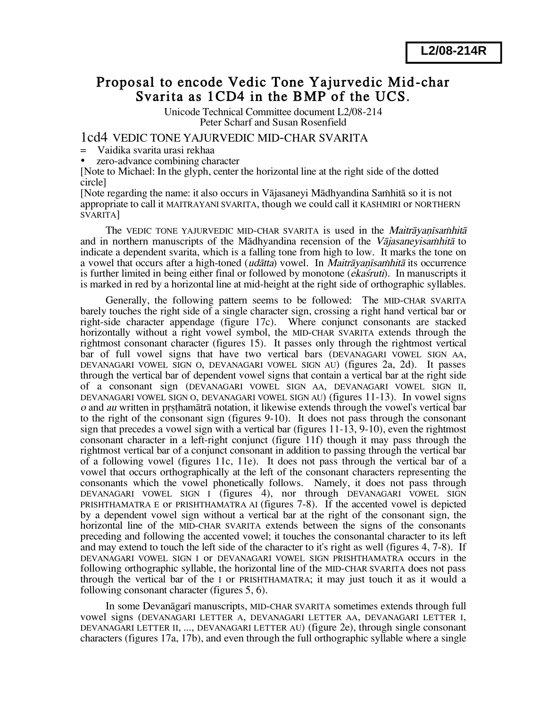# Proposal to encode Vedic Tone Yajurvedic Mid-char Svarita as 1CD4 in the BMP of the UCS.

Unicode Technical Committee document L2/08-214 Peter Scharf and Susan Rosenfield

1cd4 VEDIC TONE YAJURVEDIC MID-CHAR SVARITA

- = Vaidika svarita urasi rekhaa
- zero-advance combining character

[Note to Michael: In the glyph, center the horizontal line at the right side of the dotted circle]

[Note regarding the name: it also occurs in Vājasanevi Mādhyandina Samhitā so it is not appropriate to call it MAITRAYANI SVARITA, though we could call it KASHMIRI or NORTHERN SVARITA]

The VEDIC TONE YAJURVEDIC MID-CHAR SVARITA is used in the *Maitravanisamhita* and in northern manuscripts of the Mādhyandina recension of the Vajasaneyisamhita to indicate a dependent svarita, which is a falling tone from high to low. It marks the tone on a vowel that occurs after a high-toned (*udātta*) vowel. In *Maitrāyanīsamhitā* its occurrence is further limited in being either final or followed by monotone *(ekaśruti)*. In manuscripts it is marked in red by a horizontal line at mid-height at the right side of orthographic syllables.

Generally, the following pattern seems to be followed: The MID-CHAR SVARITA barely touches the right side of a single character sign, crossing a right hand vertical bar or right-side character appendage (figure 17c). Where conjunct consonants are stacked horizontally without a right vowel symbol, the MID-CHAR SVARITA extends through the rightmost consonant character (figures 15). It passes only through the rightmost vertical bar of full vowel signs that have two vertical bars (DEVANAGARI VOWEL SIGN AA, DEVANAGARI VOWEL SIGN O, DEVANAGARI VOWEL SIGN AU) (figures 2a, 2d). It passes through the vertical bar of dependent vowel signs that contain a vertical bar at the right side of a consonant sign (DEVANAGARI VOWEL SIGN AA, DEVANAGARI VOWEL SIGN II, DEVANAGARI VOWEL SIGN O, DEVANAGARI VOWEL SIGN AU) (figures 11-13). In vowel signs o and au written in prsthamātrā notation, it likewise extends through the vowel's vertical bar to the right of the consonant sign (figures 9-10). It does not pass through the consonant sign that precedes a vowel sign with a vertical bar (figures 11-13, 9-10), even the rightmost consonant character in a left-right conjunct (figure 11f) though it may pass through the rightmost vertical bar of a conjunct consonant in addition to passing through the vertical bar of a following vowel (figures 11c, 11e). It does not pass through the vertical bar of a vowel that occurs orthographically at the left of the consonant characters representing the consonants which the vowel phonetically follows. Namely, it does not pass through DEVANAGARI VOWEL SIGN I (figures 4), nor through DEVANAGARI VOWEL SIGN PRISHTHAMATRA E or PRISHTHAMATRA AI (figures 7-8). If the accented vowel is depicted by a dependent vowel sign without a vertical bar at the right of the consonant sign, the horizontal line of the MID-CHAR SVARITA extends between the signs of the consonants preceding and following the accented vowel; it touches the consonantal character to its left and may extend to touch the left side of the character to it's right as well (figures 4, 7-8). If DEVANAGARI VOWEL SIGN I or DEVANAGARI VOWEL SIGN PRISHTHAMATRA occurs in the following orthographic syllable, the horizontal line of the MID-CHAR SVARITA does not pass through the vertical bar of the I or PRISHTHAMATRA; it may just touch it as it would a following consonant character (figures 5, 6).

In some Devanāgarī manuscripts, MID-CHAR SVARITA sometimes extends through full vowel signs (DEVANAGARI LETTER A, DEVANAGARI LETTER AA, DEVANAGARI LETTER I, DEVANAGARI LETTER II, ..., DEVANAGARI LETTER AU) (figure 2e), through single consonant characters (figures 17a, 17b), and even through the full orthographic syllable where a single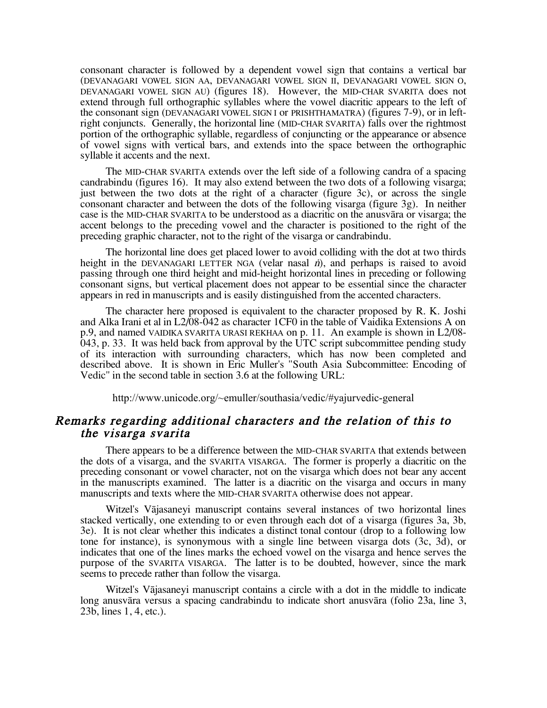consonant character is followed by a dependent vowel sign that contains a vertical bar (DEVANAGARI VOWEL SIGN AA, DEVANAGARI VOWEL SIGN II, DEVANAGARI VOWEL SIGN O, DEVANAGARI VOWEL SIGN AU) (figures 18). However, the MID-CHAR SVARITA does not extend through full orthographic syllables where the vowel diacritic appears to the left of the consonant sign (DEVANAGARI VOWEL SIGN I or PRISHTHAMATRA) (figures 7-9), or in leftright conjuncts. Generally, the horizontal line (MID-CHAR SVARITA) falls over the rightmost portion of the orthographic syllable, regardless of conjuncting or the appearance or absence of vowel signs with vertical bars, and extends into the space between the orthographic syllable it accents and the next.

The MID-CHAR SVARITA extends over the left side of a following candra of a spacing candrabindu (figures 16). It may also extend between the two dots of a following visarga; just between the two dots at the right of a character (figure 3c), or across the single consonant character and between the dots of the following visarga (figure 3g). In neither case is the MID-CHAR SVARITA to be understood as a diacritic on the anusvara or visarga; the accent belongs to the preceding vowel and the character is positioned to the right of the preceding graphic character, not to the right of the visarga or candrabindu.

The horizontal line does get placed lower to avoid colliding with the dot at two thirds height in the DEVANAGARI LETTER NGA (velar nasal  $\vec{n}$ ), and perhaps is raised to avoid passing through one third height and mid-height horizontal lines in preceding or following consonant signs, but vertical placement does not appear to be essential since the character appears in red in manuscripts and is easily distinguished from the accented characters.

The character here proposed is equivalent to the character proposed by R. K. Joshi and Alka Irani et al in L2/08-042 as character 1CF0 in the table of Vaidika Extensions A on p.9, and named VAIDIKA SVARITA URASI REKHAA on p. 11. An example is shown in L2/08-  $043$ , p. 33. It was held back from approval by the UTC script subcommittee pending study of its interaction with surrounding characters, which has now been completed and described above. It is shown in Eric Muller's "South Asia Subcommittee: Encoding of Vedic" in the second table in section 3.6 at the following URL:

http://www.unicode.org/~emuller/southasia/vedic/#yajurvedic-general

# Remarks regarding additional characters and the relation of this to<br>the visarga svarita

There appears to be a difference between the MID-CHAR SVARITA that extends between the dots of a visarga, and the SVARITA VISARGA. The former is properly a diacritic on the preceding consonant or vowel character, not on the visarga which does not bear any accent in the manuscripts examined. The latter is a diacritic on the visarga and occurs in many manuscripts and texts where the MID-CHAR SVARITA otherwise does not appear.

Witzel's Vājasaneyi manuscript contains several instances of two horizontal lines stacked vertically, one extending to or even through each dot of a visarga (figures 3a, 3b, 3e). It is not clear whether this indicates a distinct tonal contour (drop to a following low tone for instance), is synonymous with a single line between visarga dots (3c, 3d), or indicates that one of the lines marks the echoed vowel on the visarga and hence serves the purpose of the SVARITA VISARGA. The latter is to be doubted, however, since the mark seems to precede rather than follow the visarga.

Witzel's Vājasaneyi manuscript contains a circle with a dot in the middle to indicate long anusvāra versus a spacing candrabindu to indicate short anusvāra (folio 23a, line 3, 23b, lines 1, 4, etc.).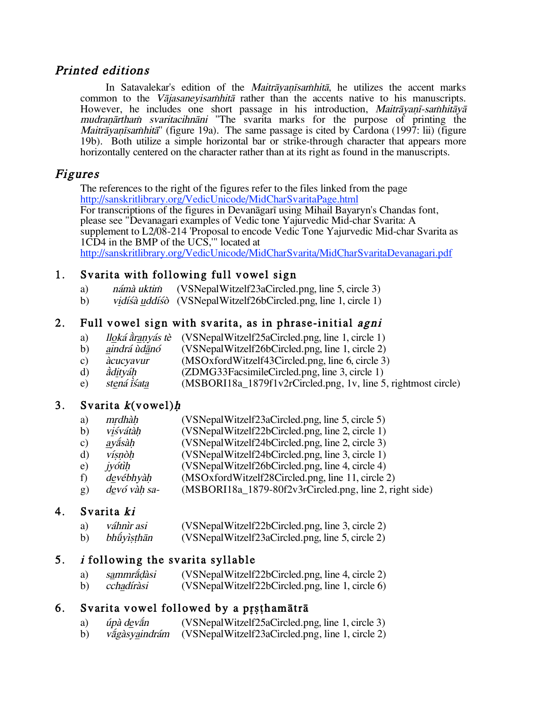#### Printed editions

In Satavalekar's edition of the *Maitrāyanīsamhitā*, he utilizes the accent marks common to the *Vājasaneyisamhitā* rather than the accents native to his manuscripts. However, he includes one short passage in his introduction, Maitrāyanī-samhitāyā mudranartham svaritacihnani "The svarita marks for the purpose of printing the Maitrāyanīsamhitā" (figure 19a). The same passage is cited by Cardona (1997: lii) (figure 19b). Both utilize a simple horizontal bar or strike-through character that appears more horizontally centered on the character rather than at its right as found in the manuscripts.

#### Figures

The references to the right of the figures refer to the files linked from the page http://sanskritlibrary.org/VedicUnicode/MidCharSvaritaPage.html<br>For transcriptions of the figures in Devanagari using Mihail Bayaryn's Chandas font, please see "Devanagari examples of Vedic tone Yajurvedic Mid-char Svarita: A supplement to L2/08-214 'Proposal to encode Vedic Tone Yajurvedic Mid-char Svarita as 1CD4 in the BMP of the UCS,'" located at http://sanskritlibrary.org/VedicUnicode/MidCharSvarita/MidCharSvaritaDevanagari.pdf

# 1. Svarita with following full vowel sign

- a) námà uktim (VSNepalWitzelf23aCircled.png, line 5, circle 3)
- b) vidísâ uddísô (VSNepalWitzelf26bCircled.png, line 1, circle 1)

#### 2. Full vowel sign with svarita, as in phrase-initial agni

- a) *lloká àranyás tè* (VSNepalWitzelf25aCircled.png, line 1, circle 1)<br>b) *aindrá ùdānó* (VSNepalWitzelf26bCircled.png, line 1, circle 2)
- b) aindrá údānó (VSNepalWitzelf26bCircled.png, line 1, circle 2)
- c) *àcucyavur* (MSOxfordWitzelf43Circled.png, line 6, circle 3)<br>d) *àdityáh* (ZDMG33FacsimileCircled.png, line 3, circle 1)
- adityáh (ZDMG33FacsimileCircled.png, line 3, circle 1)<br>stená isata (MSBORI18a\_1879f1v2rCircled.png, 1v, line 5
- e) stená  $\hat{i}$ sáta (MSBORI18a\_1879f1v2rCircled.png, 1v, line 5, rightmost circle)

# 3. Svarita  $k$ (vowel) $h$

- a) mrdhàh (VSNepalWitzelf23aCircled.png, line 5, circle 5)
- b) visvátàh (VSNepalWitzelf22bCircled.png, line 2, circle 1)
- c)  $ay\acute{a}s\acute{a}h$  (VSNepalWitzelf24bCircled.png, line 2, circle 3)
- d) vísnòh (VSNepalWitzelf24bCircled.png, line 3, circle 1)
- e) *jyótìh* (VSNepalWitzelf26bCircled.png, line 4, circle 4)
- f) devébhyàh (MSOxfordWitzelf28Circled.png, line 11, circle 2)
- g)  $\frac{dev\acute{o}}{v\acute{a}}h\$  sa-  $(MSBORI18a_1879-80f2v3rCircle, png, line 2, right side)$

# 4. Svarita ki

- a) váhnir asi (VSNepalWitzelf22bCircled.png, line 3, circle 2)
- b) bhūyisthān (VSNepalWitzelf23aCircled.png, line 5, circle 2)

# 5. i following the svarita syllable

- a) sammrådàsi (VSNepalWitzelf22bCircled.png, line 4, circle 2)
- b) cchadíràsi (VSNepalWitzelf22bCircled.png, line 1, circle 6)

# 6. Svarita vowel followed by a prsthamātrā

- a) úpà deva $\overline{a}$ n (VSNepalWitzelf25aCircled.png, line 1, circle 3)
- b) vágàsyaindrám (VSNepalWitzelf23aCircled.png, line 1, circle 2)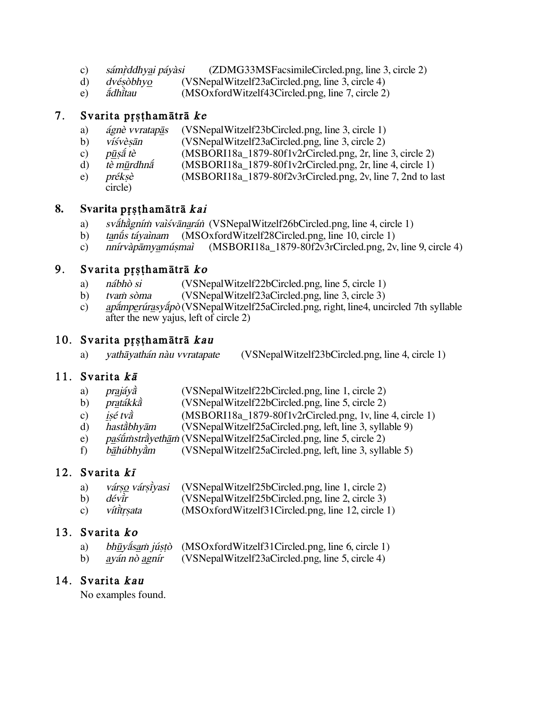- $\mathbf{c}$ ) sámrddhyai páyàsi (ZDMG33MSFacsimileCircled.png, line 3, circle 2)
- dvésòbhyo (VSNepalWitzelf23aCircled.png, line 3, circle 4) d)
- $e)$ ádhitau (MSOxfordWitzelf43Circled.png, line 7, circle 2)

#### 7. Svarita prsthamātrā ke

- ágnè vvratapās (VSNepalWitzelf23bCircled.png, line 3, circle 1) a)
- (VSNepalWitzelf23aCircled.png, line 3, circle 2) b) víśvèsān
- pūsā́ tè (MSBORI18a 1879-80f1v2rCircled.png, 2r, line 3, circle 2)  $\mathbf{c}$ )
- $(MSBORI18a 1879-80f1v2rCircle, png, 2r, line 4, circle 1)$ d) tè mūrdhna
- préksè (MSBORI18a\_1879-80f2v3rCircled.png, 2v, line 7, 2nd to last  $e)$ 
	- circle)

#### 8. Svarita prsthamātrā kai

- sváhágním valávánarán (VSNepalWitzelf26bCircled.png, line 4, circle 1) a)
- $b)$ tanū́s távainam (MSOxfordWitzelf28Circled.png, line 10, circle 1)
- (MSBORI18a\_1879-80f2v3rCircled.png, 2v, line 9, circle 4)  $c)$ nnírvàpāmvamúsmaì

#### 9. Svarita prsthamātrā ko

- $a)$ nábhò si (VSNepalWitzelf22bCircled.png, line 5, circle 1)
- $\mathbf{b}$ tvam sòma (VSNepalWitzelf23aCircled.png, line 3, circle 3)
- apámperúrasyápò (VSNepalWitzelf25aCircled.png, right, line4, uncircled 7th syllable c) after the new yajus, left of circle 2)

# 10. Svarita prsthamātrā kau

vathāyathán nàu vvratapate (VSNepalWitzelf23bCircled.png, line 4, circle 1) a)

# 11. Svarita  $k\bar{a}$

- a) prajáva (VSNepalWitzelf22bCircled.png, line 1, circle 2)
- $b)$ pratákka (VSNepalWitzelf22bCircled.png, line 5, circle 2)
- $(MSBOR118a_1879-80f1v2rCircle, png, 1v, line 4, circle 1)$  $\mathbf{c}$ ) isé tvà
- $\mathbf{d}$ hastàbhyām (VSNepalWitzelf25aCircled.png, left, line 3, syllable 9)
- paśūmstrāyethām (VSNepalWitzelf25aCircled.png, line 5, circle 2) e)
- (VSNepalWitzelf25aCircled.png, left, line 3, syllable 5) f) bāhúbhyàm

# 12. Svarita kī

- a) várso vársiyasi (VSNepalWitzelf25bCircled.png, line 1, circle 2)
- dévir (VSNepalWitzelf25bCircled.png, line 2, circle 3) b)
- $\mathbf{c})$ vítitrsata (MSOxfordWitzelf31Circled.png, line 12, circle 1)

# 13. Svarita ko

- bhūyasam jústò (MSOxfordWitzelf31Circled.png, line 6, circle 1) a)
- ayán nò agnír (VSNepalWitzelf23aCircled.png, line 5, circle 4) b)

# 14. Svarita kau

No examples found.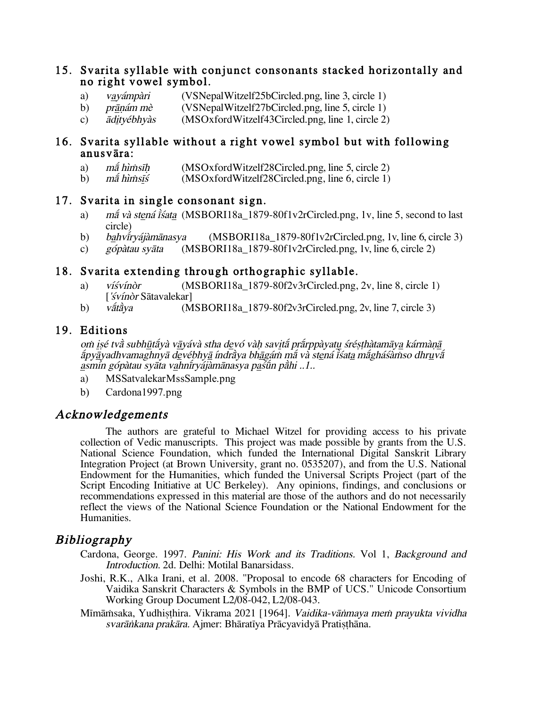#### 15. Svarita syllable with conjunct consonants stacked horizontally and no right vowel symbol.

- vavámpàri (VSNepalWitzelf25bCircled.png, line 3, circle 1) a)
- $b)$ prānám mè (VSNepalWitzelf27bCircled.png, line 5, circle 1)
- (MSOxfordWitzelf43Circled.png, line 1, circle 2) ādityébhyàs  $\mathbf{c}$ )

#### 16. Svarita syllable without a right vowel symbol but with following anusvāra:

- a) mấ hìṁsīh (MSOxfordWitzelf28Circled.png, line 5, circle 2)
- (MSOxfordWitzelf28Circled.png, line 6, circle 1) mā hìmsīś b)

#### 17. Svarita in single consonant sign.

- *má và stená išata* (MSBORI18a 1879-80f1v2rCircled.png, 1v, line 5, second to last a) circle)
- bahviryájàmānasya (MSBORI18a 1879-80f1v2rCircled.png, 1v, line 6, circle 3) b)
- $(MSBOR118a_1879-80f1v2rCircle, png, 1v, line 6, circle 2)$  $\mathbf{c}$ ) gópàtau svāta

#### 18. Svarita extending through orthographic syllable.

- víśvínòr  $(MSBORI18a 1879-80f2v3rCircle, png, 2v, line 8, circle 1)$ a) ['svínòr Sātavalekar]
- $(MSBORI18a 1879-80f2v3rCircle, png, 2v, line 7, circle 3)$ b) vātāva

#### 19. Editions

om isé tvà subhūtáyà vāyávà stha devó vàh savitá prárppàyatu śrésthàtamāya kármànā apyavadhvamaghnyā devébhyā índràya bhāgám má và stená isata mághásàmso dhruvá asmín gópàtau svāta vahnīrvájàmānasva pastīn pāhi ..1..

- a) MSSatvalekarMssSample.png
- b) Cardona1997.png

#### Acknowledgements

The authors are grateful to Michael Witzel for providing access to his private collection of Vedic manuscripts. This project was made possible by grants from the U.S. National Science Foundation, which funded the International Digital Sanskrit Library Integration Project (at Brown University, grant no. 0535207), and from the U.S. National Endowment for the Humanities, which funded the Universal Scripts Project (part of the Script Encoding Initiative at UC Berkeley). Any opinions, findings, and conclusions or recommendations expressed in this material are those of the authors and do not necessarily reflect the views of the National Science Foundation or the National Endowment for the Humanities.

# **Bibliography**

- Cardona, George. 1997. Panini: His Work and its Traditions. Vol 1, Background and Introduction. 2d. Delhi: Motilal Banarsidass.
- Joshi, R.K., Alka Irani, et al. 2008. "Proposal to encode 68 characters for Encoding of Vaidika Sanskrit Characters & Symbols in the BMP of UCS." Unicode Consortium Working Group Document L2/08-042, L2/08-043.
- Mīmāmsaka, Yudhisthira. Vikrama 2021 [1964]. Vaidika-vānmaya mem prayukta vividha svarānkana prakāra. Ajmer: Bhāratīya Prācyavidyā Pratisthāna.